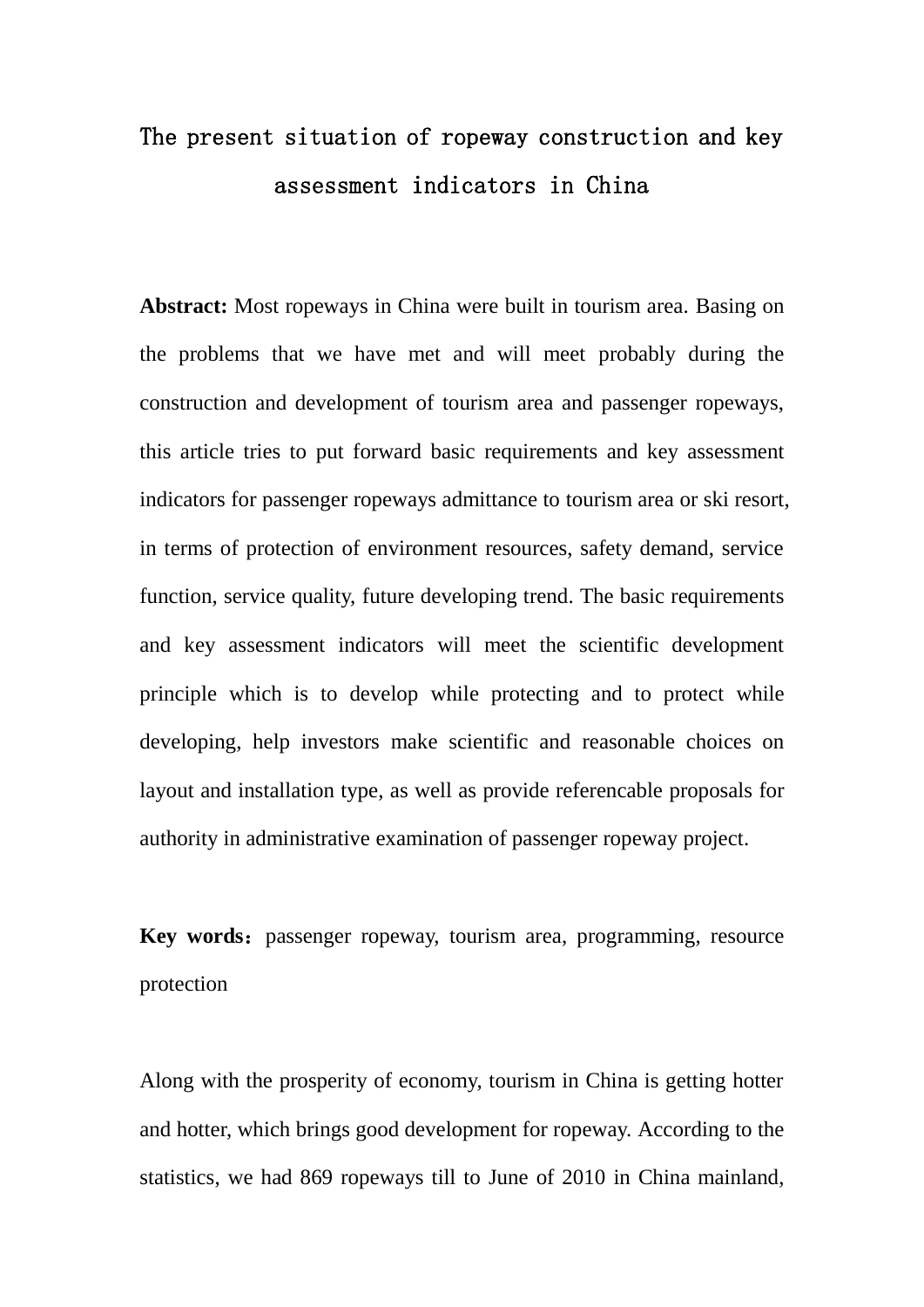# The present situation of ropeway construction and key assessment indicators in China

**Abstract:** Most ropeways in China were built in tourism area. Basing on the problems that we have met and will meet probably during the construction and development of tourism area and passenger ropeways, this article tries to put forward basic requirements and key assessment indicators for passenger ropeways admittance to tourism area or ski resort, in terms of protection of environment resources, safety demand, service function, service quality, future developing trend. The basic requirements and key assessment indicators will meet the scientific development principle which is to develop while protecting and to protect while developing, help investors make scientific and reasonable choices on layout and installation type, as well as provide referencable proposals for authority in administrative examination of passenger ropeway project.

**Key words:** passenger ropeway, tourism area, programming, resource protection

Along with the prosperity of economy, tourism in China is getting hotter and hotter, which brings good development for ropeway. According to the statistics, we had 869 ropeways till to June of 2010 in China mainland,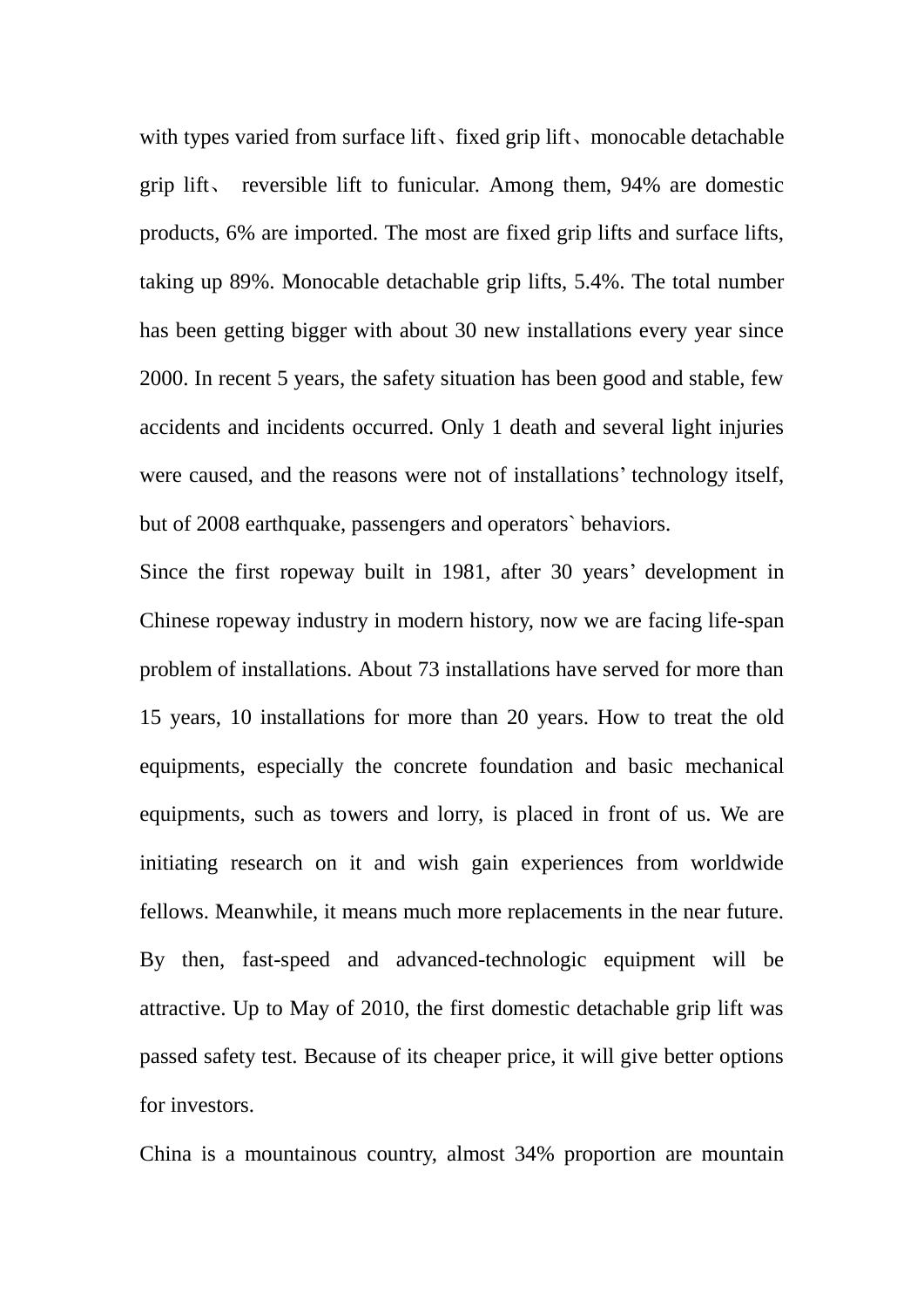with types varied from surface lift, fixed grip lift, monocable detachable grip lift、 reversible lift to funicular. Among them, 94% are domestic products, 6% are imported. The most are fixed grip lifts and surface lifts, taking up 89%. Monocable detachable grip lifts, 5.4%. The total number has been getting bigger with about 30 new installations every year since 2000. In recent 5 years, the safety situation has been good and stable, few accidents and incidents occurred. Only 1 death and several light injuries were caused, and the reasons were not of installations' technology itself, but of 2008 earthquake, passengers and operators` behaviors.

Since the first ropeway built in 1981, after 30 years' development in Chinese ropeway industry in modern history, now we are facing life-span problem of installations. About 73 installations have served for more than 15 years, 10 installations for more than 20 years. How to treat the old equipments, especially the concrete foundation and basic mechanical equipments, such as towers and lorry, is placed in front of us. We are initiating research on it and wish gain experiences from worldwide fellows. Meanwhile, it means much more replacements in the near future. By then, fast-speed and advanced-technologic equipment will be attractive. Up to May of 2010, the first domestic detachable grip lift was passed safety test. Because of its cheaper price, it will give better options for investors.

China is a mountainous country, almost 34% proportion are mountain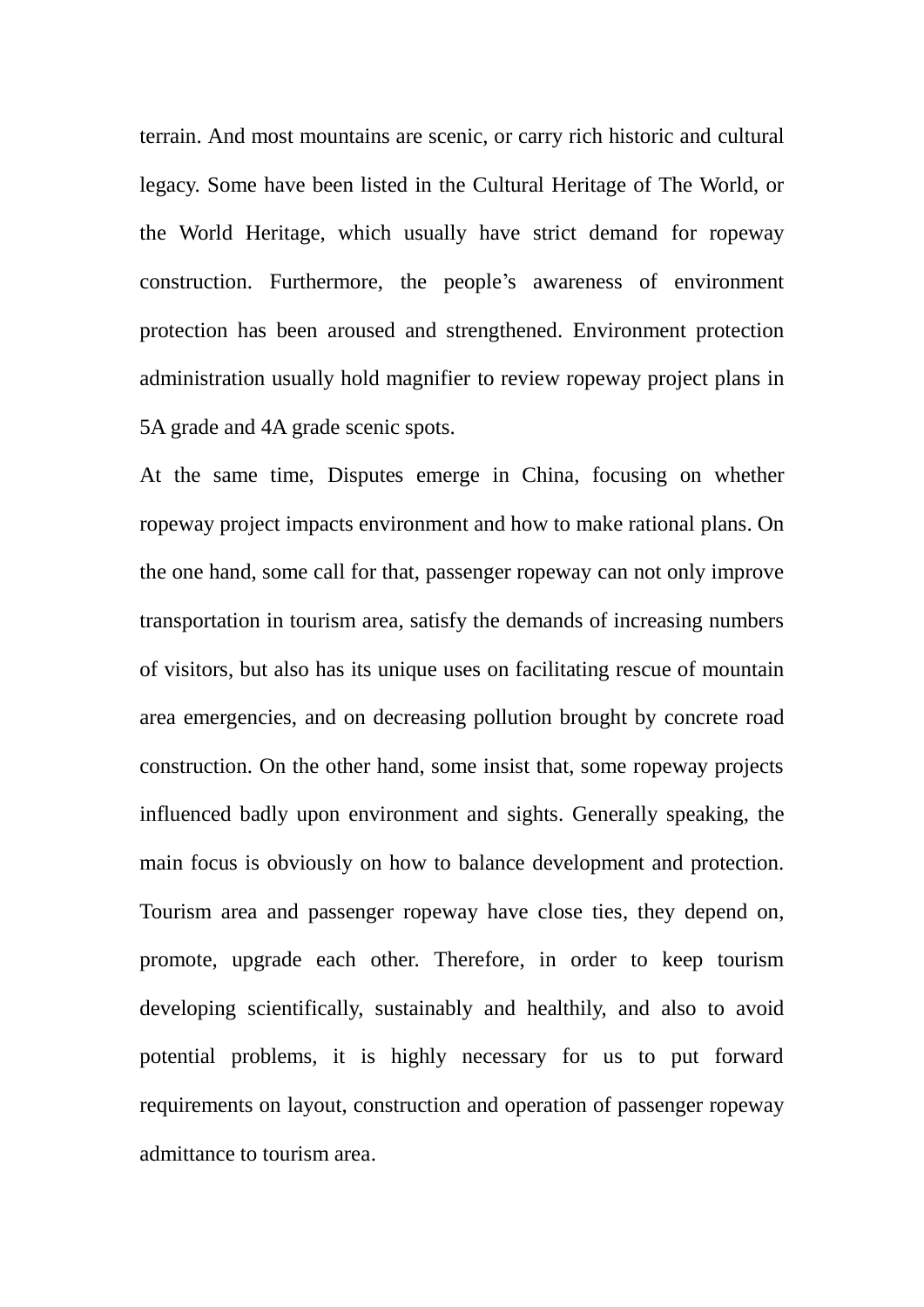terrain. And most mountains are scenic, or carry rich historic and cultural legacy. Some have been listed in the Cultural Heritage of The World, or the World Heritage, which usually have strict demand for ropeway construction. Furthermore, the people's awareness of environment protection has been aroused and strengthened. Environment protection administration usually hold magnifier to review ropeway project plans in 5A grade and 4A grade scenic spots.

At the same time, Disputes emerge in China, focusing on whether ropeway project impacts environment and how to make rational plans. On the one hand, some call for that, passenger ropeway can not only improve transportation in tourism area, satisfy the demands of increasing numbers of visitors, but also has its unique uses on facilitating rescue of mountain area emergencies, and on decreasing pollution brought by concrete road construction. On the other hand, some insist that, some ropeway projects influenced badly upon environment and sights. Generally speaking, the main focus is obviously on how to balance development and protection. Tourism area and passenger ropeway have close ties, they depend on, promote, upgrade each other. Therefore, in order to keep tourism developing scientifically, sustainably and healthily, and also to avoid potential problems, it is highly necessary for us to put forward requirements on layout, construction and operation of passenger ropeway admittance to tourism area.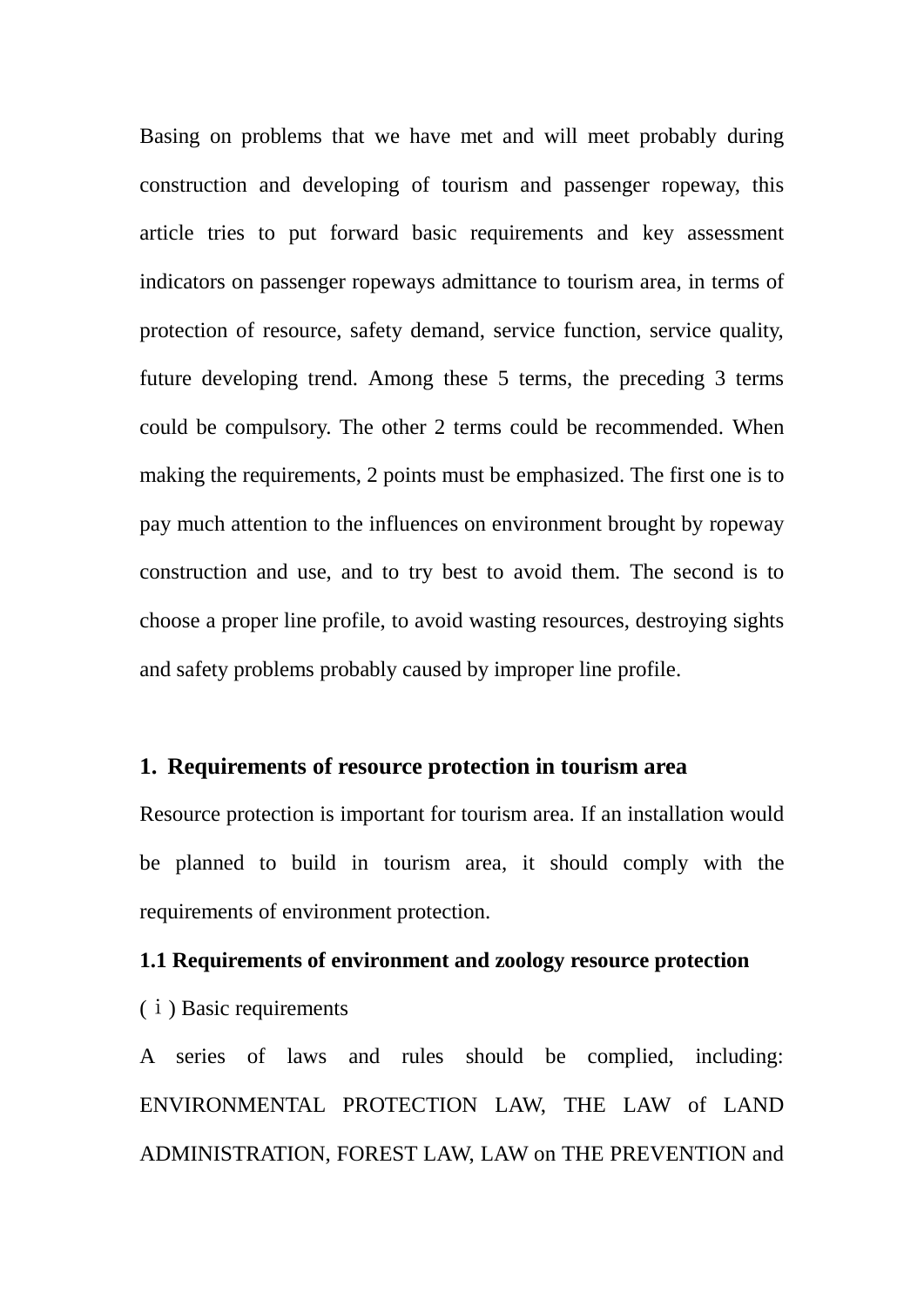Basing on problems that we have met and will meet probably during construction and developing of tourism and passenger ropeway, this article tries to put forward basic requirements and key assessment indicators on passenger ropeways admittance to tourism area, in terms of protection of resource, safety demand, service function, service quality, future developing trend. Among these 5 terms, the preceding 3 terms could be compulsory. The other 2 terms could be recommended. When making the requirements, 2 points must be emphasized. The first one is to pay much attention to the influences on environment brought by ropeway construction and use, and to try best to avoid them. The second is to choose a proper line profile, to avoid wasting resources, destroying sights and safety problems probably caused by improper line profile.

## **1. Requirements of resource protection in tourism area**

Resource protection is important for tourism area. If an installation would be planned to build in tourism area, it should comply with the requirements of environment protection.

## **1.1 Requirements of environment and zoology resource protection**

(ⅰ) Basic requirements

A series of laws and rules should be complied, including: ENVIRONMENTAL PROTECTION LAW, THE LAW of LAND ADMINISTRATION, FOREST LAW, LAW on THE PREVENTION and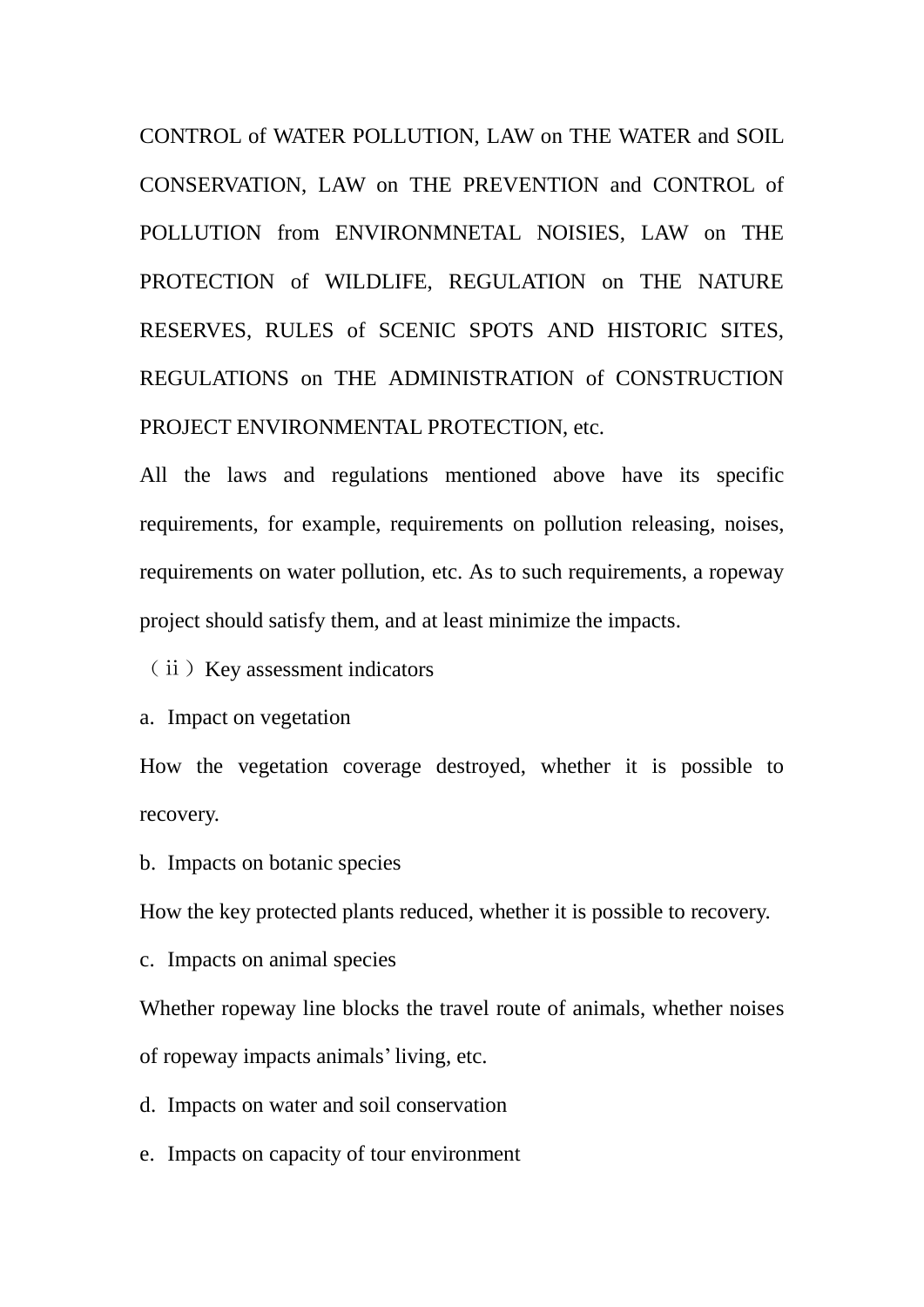CONTROL of WATER POLLUTION, LAW on THE WATER and SOIL CONSERVATION, LAW on THE PREVENTION and CONTROL of POLLUTION from ENVIRONMNETAL NOISIES, LAW on THE PROTECTION of WILDLIFE, REGULATION on THE NATURE RESERVES, RULES of SCENIC SPOTS AND HISTORIC SITES, REGULATIONS on THE ADMINISTRATION of CONSTRUCTION PROJECT ENVIRONMENTAL PROTECTION, etc.

All the laws and regulations mentioned above have its specific requirements, for example, requirements on pollution releasing, noises, requirements on water pollution, etc. As to such requirements, a ropeway project should satisfy them, and at least minimize the impacts.

(ⅱ)Key assessment indicators

a. Impact on vegetation

How the vegetation coverage destroyed, whether it is possible to recovery.

b. Impacts on botanic species

How the key protected plants reduced, whether it is possible to recovery.

c. Impacts on animal species

Whether ropeway line blocks the travel route of animals, whether noises of ropeway impacts animals'living, etc.

d. Impacts on water and soil conservation

e. Impacts on capacity of tour environment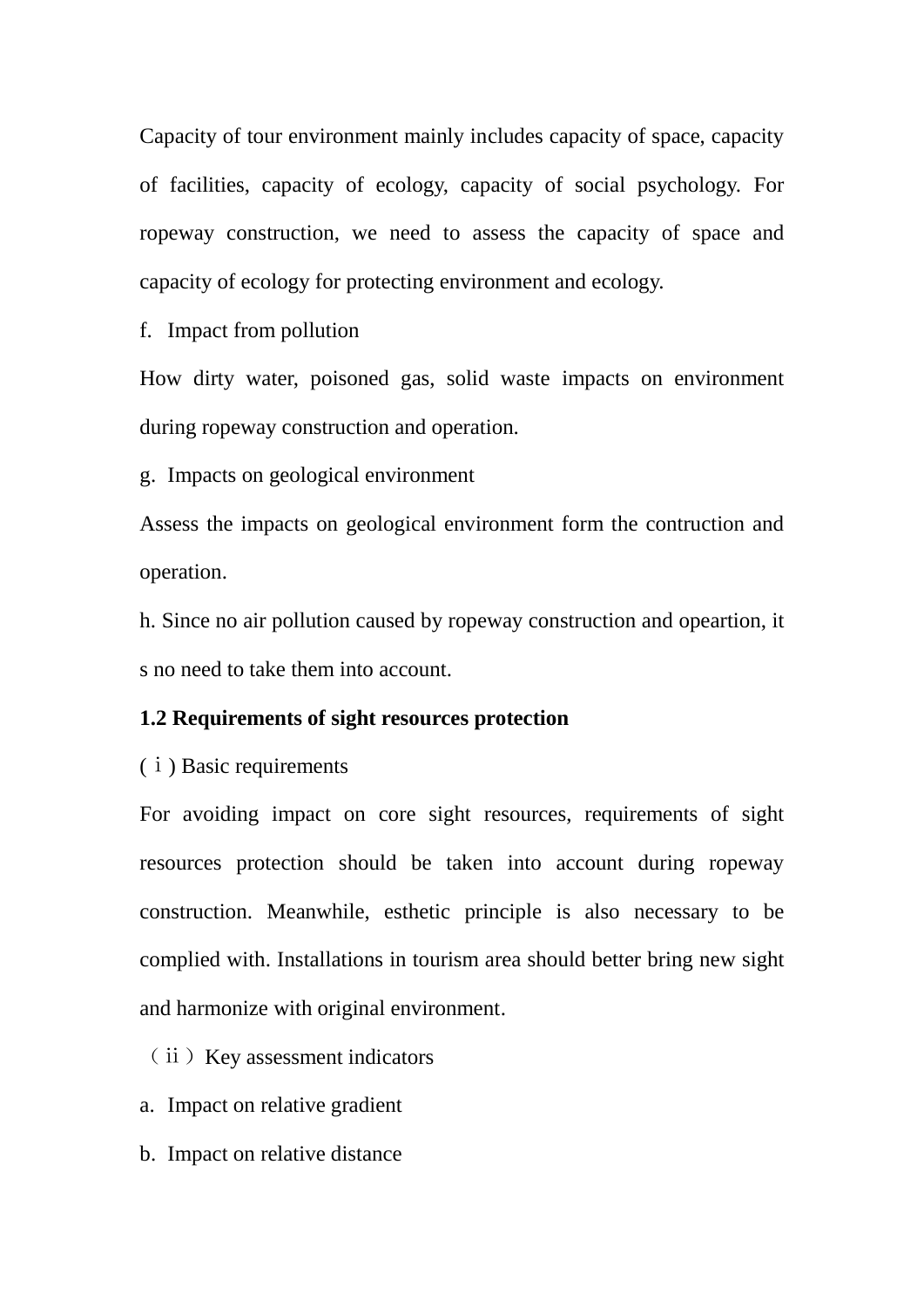Capacity of tour environment mainly includes capacity of space, capacity of facilities, capacity of ecology, capacity of social psychology. For ropeway construction, we need to assess the capacity of space and capacity of ecology for protecting environment and ecology.

f. Impact from pollution

How dirty water, poisoned gas, solid waste impacts on environment during ropeway construction and operation.

g. Impacts on geological environment

Assess the impacts on geological environment form the contruction and operation.

h. Since no air pollution caused by ropeway construction and opeartion, it s no need to take them into account.

## **1.2 Requirements of sight resources protection**

(ⅰ) Basic requirements

For avoiding impact on core sight resources, requirements of sight resources protection should be taken into account during ropeway construction. Meanwhile, esthetic principle is also necessary to be complied with. Installations in tourism area should better bring new sight and harmonize with original environment.

(ⅱ)Key assessment indicators

a. Impact on relative gradient

b. Impact on relative distance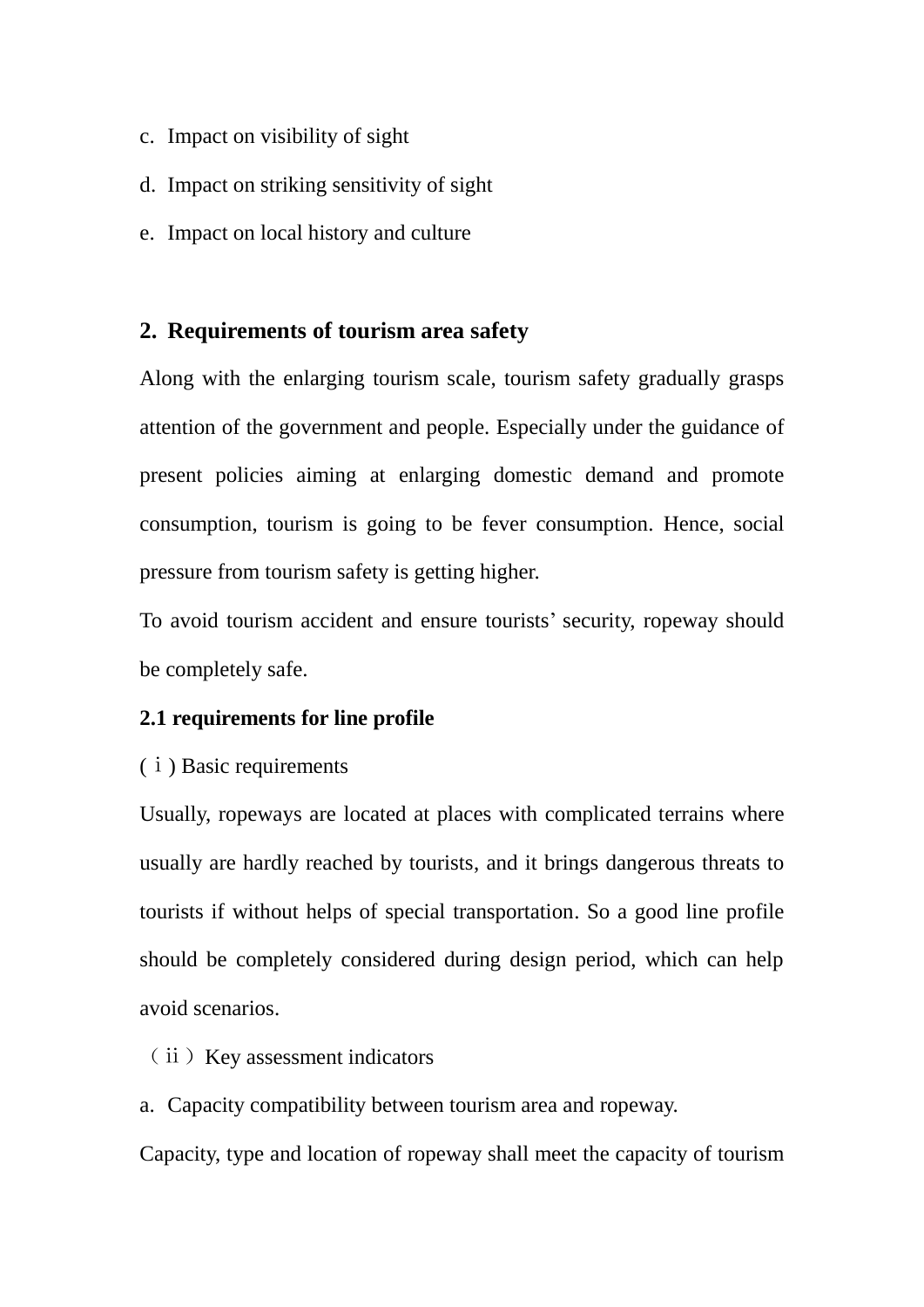- c. Impact on visibility of sight
- d. Impact on striking sensitivity of sight
- e. Impact on local history and culture

# **2. Requirements of tourism area safety**

Along with the enlarging tourism scale, tourism safety gradually grasps attention of the government and people. Especially under the guidance of present policies aiming at enlarging domestic demand and promote consumption, tourism is going to be fever consumption. Hence, social pressure from tourism safety is getting higher.

To avoid tourism accident and ensure tourists' security, ropeway should be completely safe.

## **2.1 requirements for line profile**

## (ⅰ) Basic requirements

Usually, ropeways are located at places with complicated terrains where usually are hardly reached by tourists, and it brings dangerous threats to tourists if without helps of special transportation. So a good line profile should be completely considered during design period, which can help avoid scenarios.

# (ⅱ)Key assessment indicators

a. Capacity compatibility between tourism area and ropeway.

Capacity, type and location of ropeway shall meet the capacity of tourism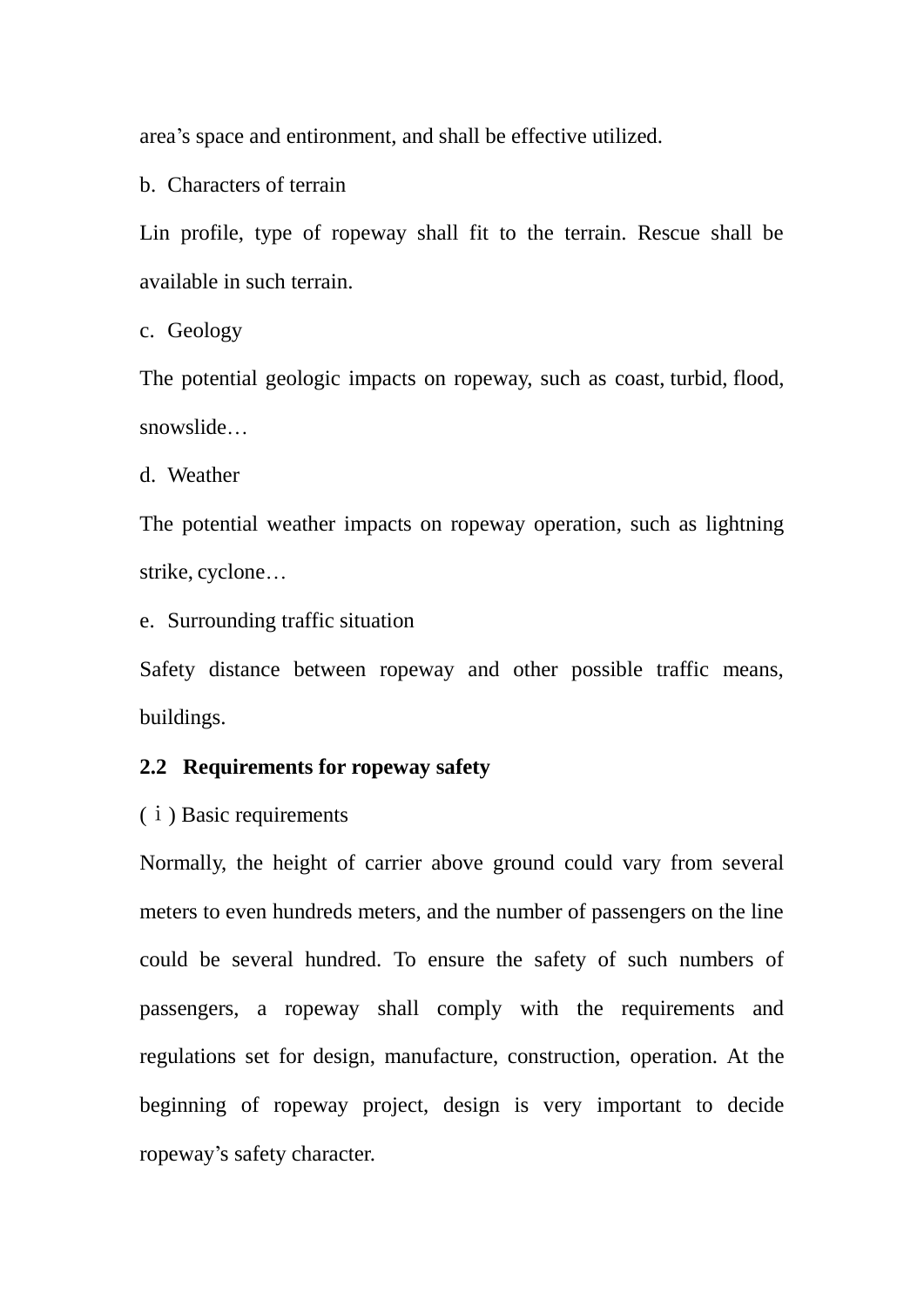area's space and entironment, and shall be effective utilized.

b. Characters of terrain

Lin profile, type of ropeway shall fit to the terrain. Rescue shall be available in such terrain.

c. Geology

The potential geologic impacts on ropeway, such as coast, turbid, flood, snowslide…

d. Weather

The potential weather impacts on ropeway operation, such as lightning strike, cyclone…

e. Surrounding traffic situation

Safety distance between ropeway and other possible traffic means, buildings.

#### **2.2 Requirements for ropeway safety**

(ⅰ) Basic requirements

Normally, the height of carrier above ground could vary from several meters to even hundreds meters, and the number of passengers on the line could be several hundred. To ensure the safety of such numbers of passengers, a ropeway shall comply with the requirements and regulations set for design, manufacture, construction, operation. At the beginning of ropeway project, design is very important to decide ropeway's safety character.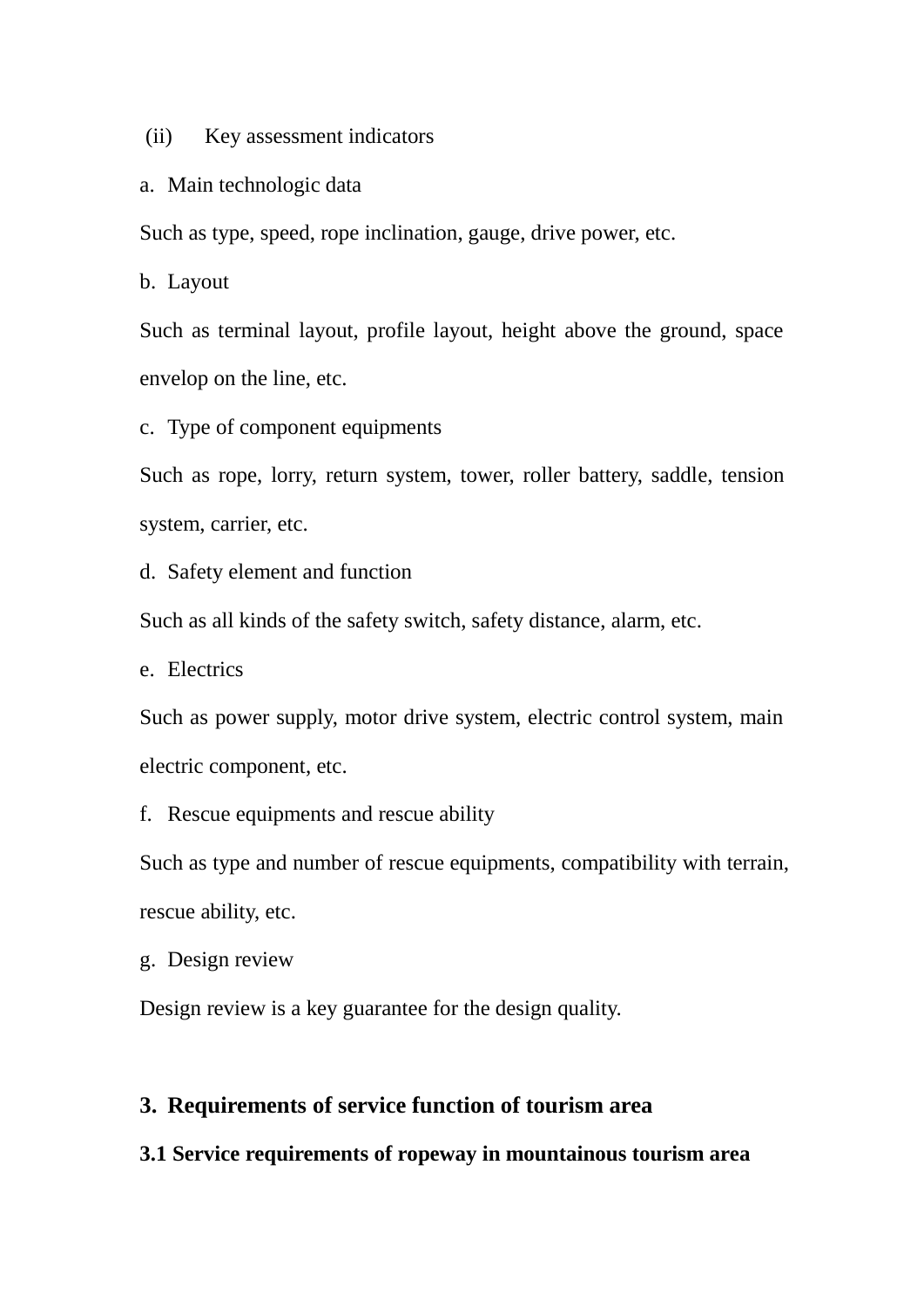(ii) Key assessment indicators

#### a. Main technologic data

Such as type, speed, rope inclination, gauge, drive power, etc.

b. Layout

Such as terminal layout, profile layout, height above the ground, space envelop on the line, etc.

c. Type of component equipments

Such as rope, lorry, return system, tower, roller battery, saddle, tension system, carrier, etc.

d. Safety element and function

Such as all kinds of the safety switch, safety distance, alarm, etc.

e. Electrics

Such as power supply, motor drive system, electric control system, main electric component, etc.

f. Rescue equipments and rescue ability

Such as type and number of rescue equipments, compatibility with terrain, rescue ability, etc.

g. Design review

Design review is a key guarantee for the design quality.

# **3. Requirements of service function of tourism area**

## **3.1 Service requirements of ropeway in mountainous tourism area**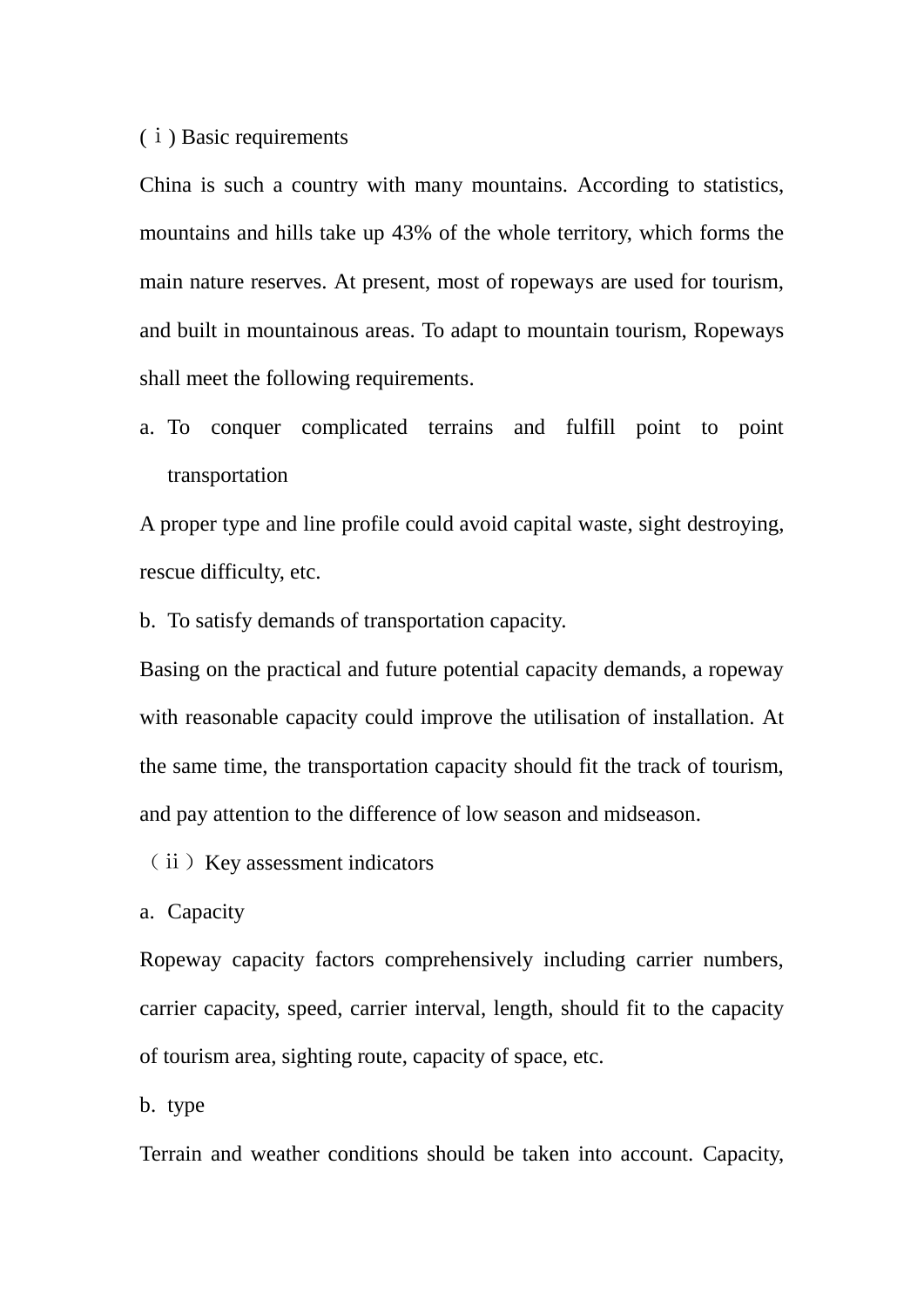#### (ⅰ) Basic requirements

China is such a country with many mountains. According to statistics, mountains and hills take up 43% of the whole territory, which forms the main nature reserves. At present, most of ropeways are used for tourism, and built in mountainous areas. To adapt to mountain tourism, Ropeways shall meet the following requirements.

a. To conquer complicated terrains and fulfill point to point transportation

A proper type and line profile could avoid capital waste, sight destroying, rescue difficulty, etc.

b. To satisfy demands of transportation capacity.

Basing on the practical and future potential capacity demands, a ropeway with reasonable capacity could improve the utilisation of installation. At the same time, the transportation capacity should fit the track of tourism, and pay attention to the difference of low season and midseason.

(ⅱ)Key assessment indicators

a. Capacity

Ropeway capacity factors comprehensively including carrier numbers, carrier capacity, speed, carrier interval, length, should fit to the capacity of tourism area, sighting route, capacity of space, etc.

b. type

Terrain and weather conditions should be taken into account. Capacity,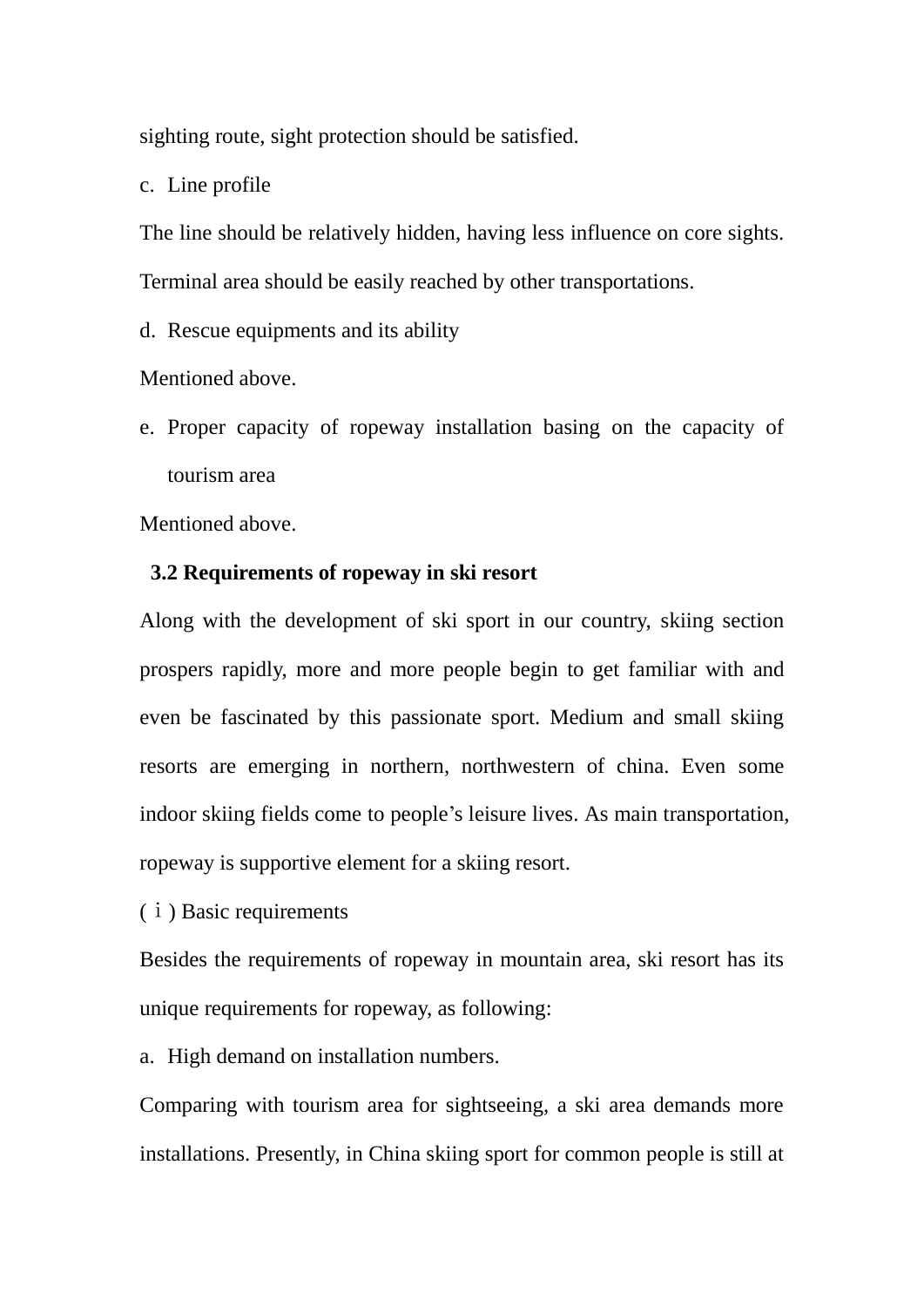sighting route, sight protection should be satisfied.

c. Line profile

The line should be relatively hidden, having less influence on core sights. Terminal area should be easily reached by other transportations.

d. Rescue equipments and its ability

Mentioned above.

e. Proper capacity of ropeway installation basing on the capacity of tourism area

Mentioned above.

## **3.2 Requirements of ropeway in ski resort**

Along with the development of ski sport in our country, skiing section prospers rapidly, more and more people begin to get familiar with and even be fascinated by this passionate sport. Medium and small skiing resorts are emerging in northern, northwestern of china. Even some indoor skiing fields come to people's leisure lives. As main transportation, ropeway is supportive element for a skiing resort.

(ⅰ) Basic requirements

Besides the requirements of ropeway in mountain area, ski resort has its unique requirements for ropeway, as following:

a. High demand on installation numbers.

Comparing with tourism area for sightseeing, a ski area demands more installations. Presently, in China skiing sport for common people is still at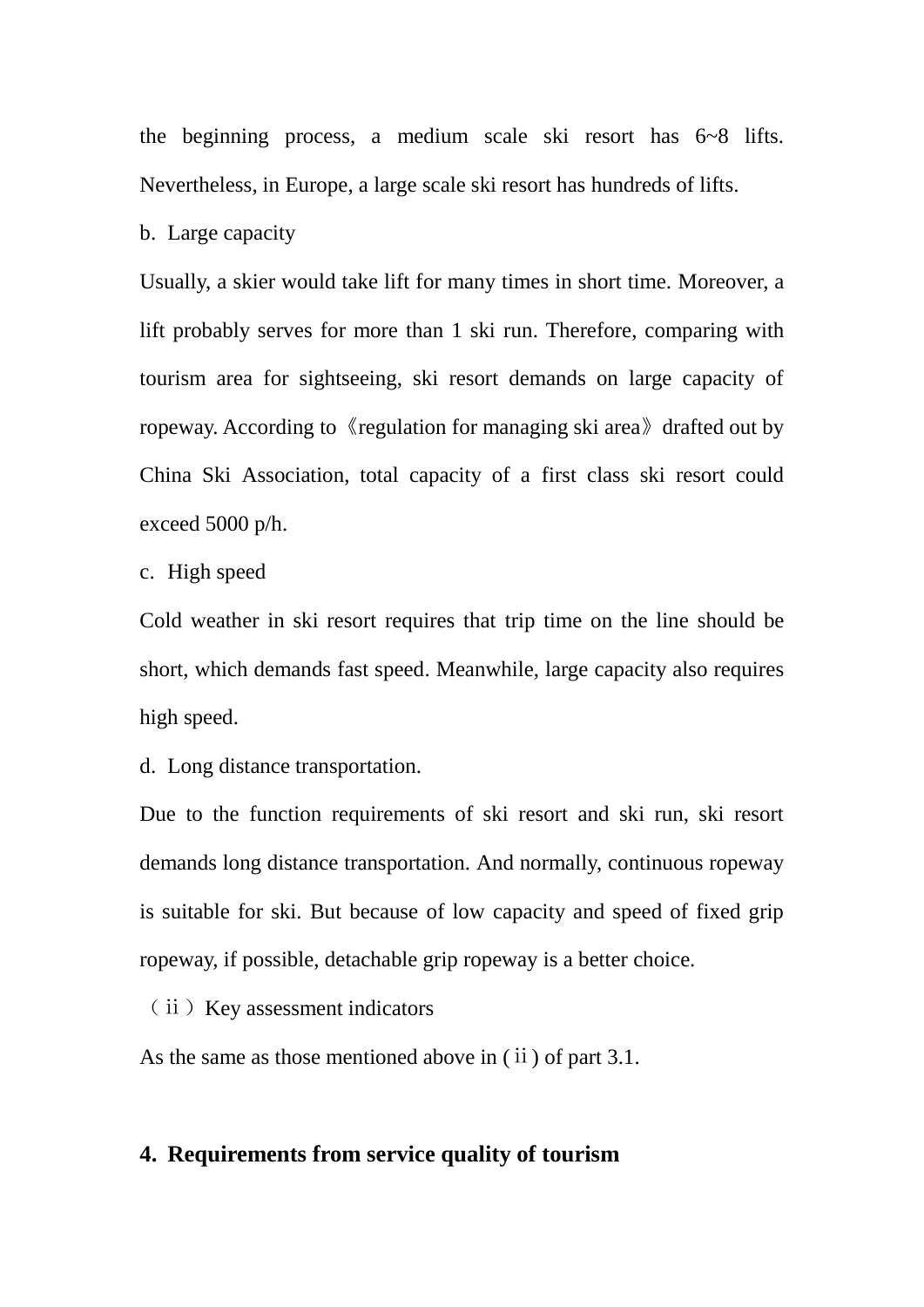the beginning process, a medium scale ski resort has 6~8 lifts. Nevertheless, in Europe, a large scale ski resort has hundreds of lifts.

b. Large capacity

Usually, a skier would take lift for many times in short time. Moreover, a lift probably serves for more than 1 ski run. Therefore, comparing with tourism area for sightseeing, ski resort demands on large capacity of ropeway. According to 《regulation for managing ski area》drafted out by China Ski Association, total capacity of a first class ski resort could exceed 5000 p/h.

c. High speed

Cold weather in ski resort requires that trip time on the line should be short, which demands fast speed. Meanwhile, large capacity also requires high speed.

d. Long distance transportation.

Due to the function requirements of ski resort and ski run, ski resort demands long distance transportation. And normally, continuous ropeway is suitable for ski. But because of low capacity and speed of fixed grip ropeway, if possible, detachable grip ropeway is a better choice.

(ⅱ)Key assessment indicators

As the same as those mentioned above in (ii) of part 3.1.

# **4. Requirements from service quality of tourism**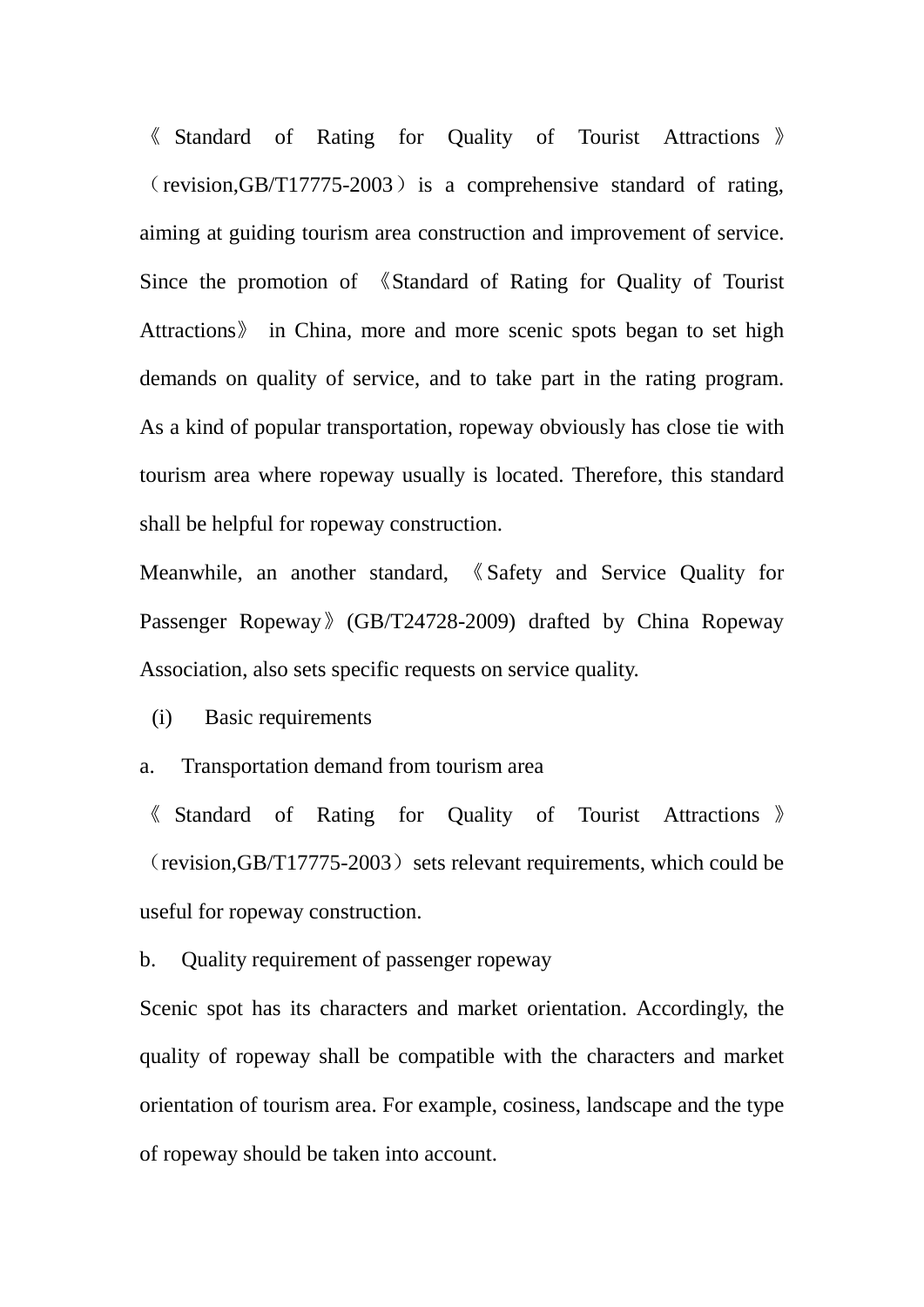《 Standard of Rating for Quality of Tourist Attractions 》  $(revision, GB/T17775-2003)$  is a comprehensive standard of rating, aiming at guiding tourism area construction and improvement of service. Since the promotion of 《Standard of Rating for Quality of Tourist Attractions》 in China, more and more scenic spots began to set high demands on quality of service, and to take part in the rating program. As a kind of popular transportation, ropeway obviously has close tie with tourism area where ropeway usually is located. Therefore, this standard shall be helpful for ropeway construction.

Meanwhile, an another standard, 《Safety and Service Quality for Passenger Ropeway》(GB/T24728-2009) drafted by China Ropeway Association, also sets specific requests on service quality.

(i) Basic requirements

a. Transportation demand from tourism area

《 Standard of Rating for Quality of Tourist Attractions 》  $(revision, GB/T17775-2003)$  sets relevant requirements, which could be useful for ropeway construction.

b. Quality requirement of passenger ropeway

Scenic spot has its characters and market orientation. Accordingly, the quality of ropeway shall be compatible with the characters and market orientation of tourism area. For example, cosiness, landscape and the type of ropeway should be taken into account.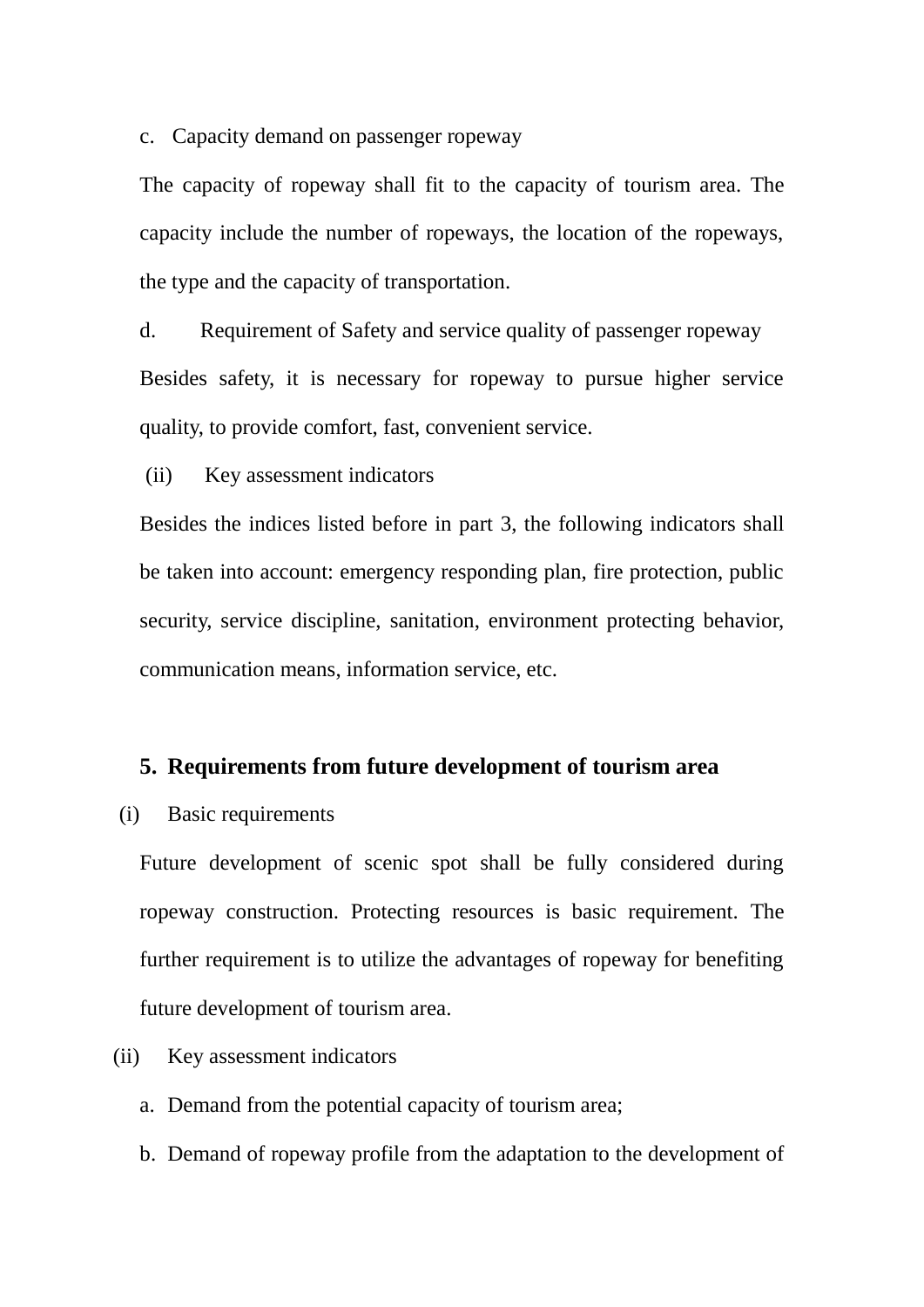c. Capacity demand on passenger ropeway

The capacity of ropeway shall fit to the capacity of tourism area. The capacity include the number of ropeways, the location of the ropeways, the type and the capacity of transportation.

d. Requirement of Safety and service quality of passenger ropeway Besides safety, it is necessary for ropeway to pursue higher service quality, to provide comfort, fast, convenient service.

(ii) Key assessment indicators

Besides the indices listed before in part 3, the following indicators shall be taken into account: emergency responding plan, fire protection, public security, service discipline, sanitation, environment protecting behavior, communication means, information service, etc.

# **5. Requirements from future development of tourism area**

# (i) Basic requirements

Future development of scenic spot shall be fully considered during ropeway construction. Protecting resources is basic requirement. The further requirement is to utilize the advantages of ropeway for benefiting future development of tourism area.

# (ii) Key assessment indicators

- a. Demand from the potential capacity of tourism area;
- b. Demand of ropeway profile from the adaptation to the development of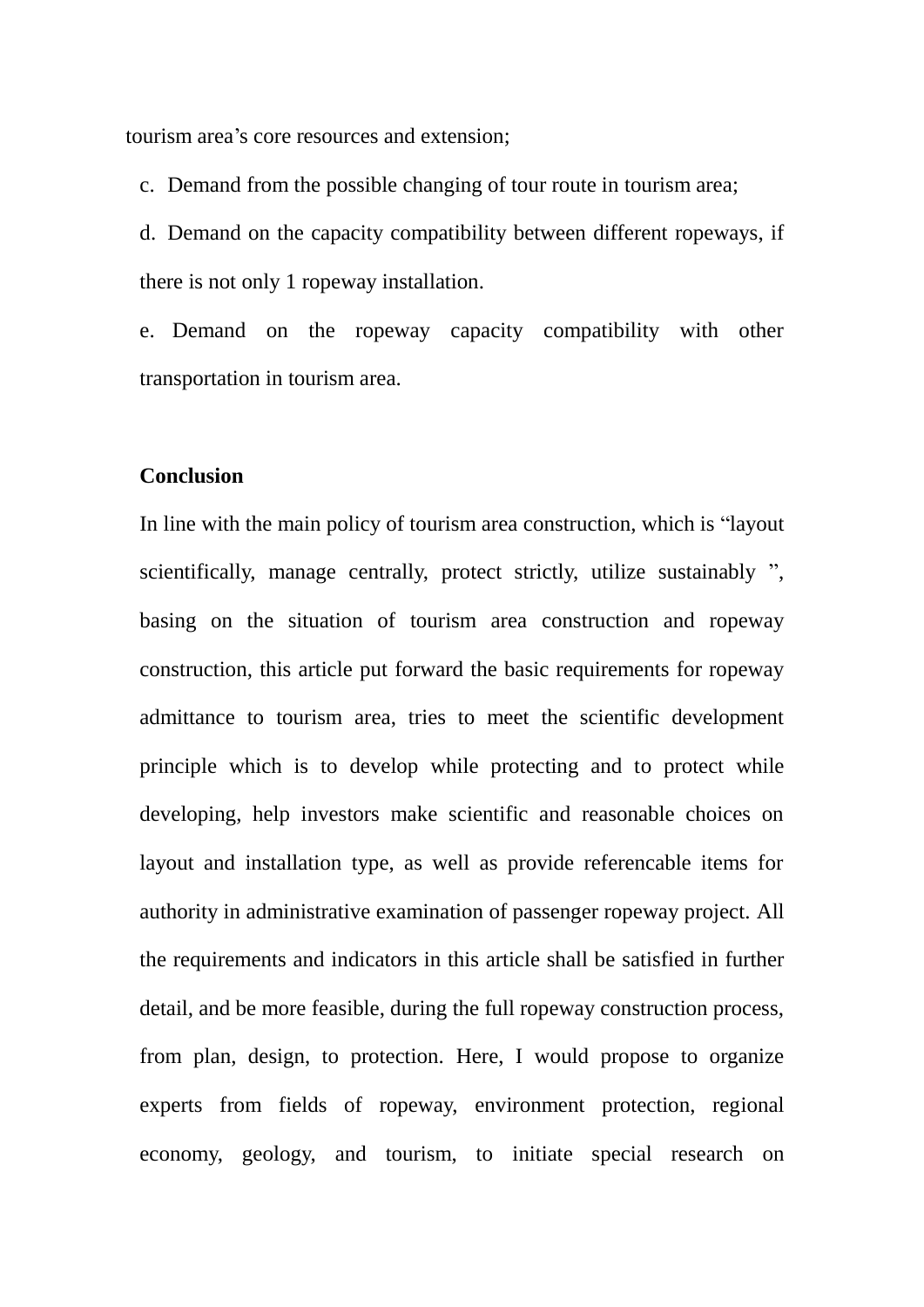tourism area's core resources and extension;

c. Demand from the possible changing of tour route in tourism area;

d. Demand on the capacity compatibility between different ropeways, if there is not only 1 ropeway installation.

e. Demand on the ropeway capacity compatibility with other transportation in tourism area.

#### **Conclusion**

In line with the main policy of tourism area construction, which is "layout scientifically, manage centrally, protect strictly, utilize sustainably ", basing on the situation of tourism area construction and ropeway construction, this article put forward the basic requirements for ropeway admittance to tourism area, tries to meet the scientific development principle which is to develop while protecting and to protect while developing, help investors make scientific and reasonable choices on layout and installation type, as well as provide referencable items for authority in administrative examination of passenger ropeway project. All the requirements and indicators in this article shall be satisfied in further detail, and be more feasible, during the full ropeway construction process, from plan, design, to protection. Here, I would propose to organize experts from fields of ropeway, environment protection, regional economy, geology, and tourism, to initiate special research on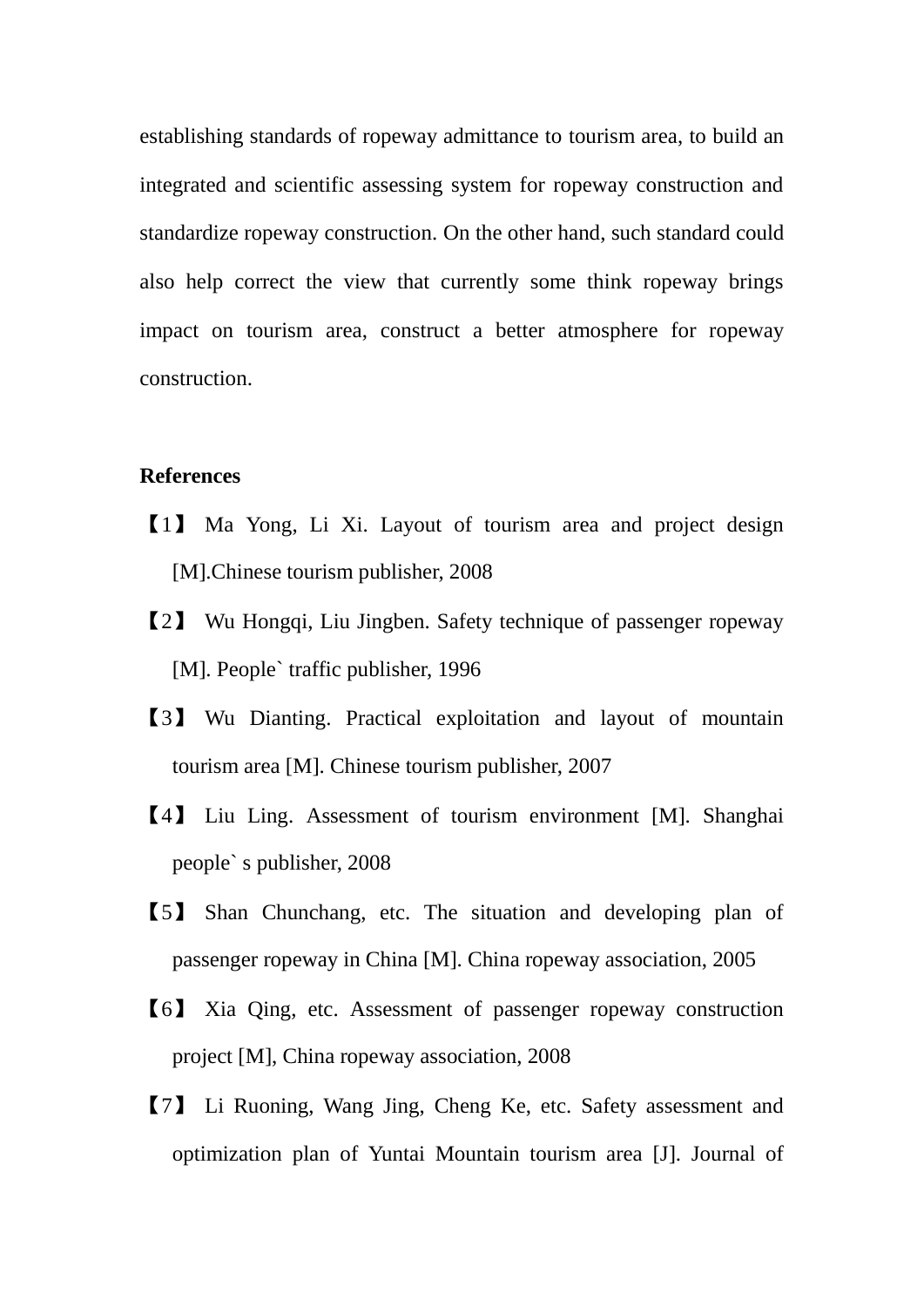establishing standards of ropeway admittance to tourism area, to build an integrated and scientific assessing system for ropeway construction and standardize ropeway construction. On the other hand, such standard could also help correct the view that currently some think ropeway brings impact on tourism area, construct a better atmosphere for ropeway construction.

## **References**

- 【1】 Ma Yong, Li Xi. Layout of tourism area and project design [M].Chinese tourism publisher, 2008
- 【2】 Wu Hongqi, Liu Jingben. Safety technique of passenger ropeway [M]. People` traffic publisher, 1996
- 【3】 Wu Dianting. Practical exploitation and layout of mountain tourism area [M]. Chinese tourism publisher, 2007
- 【4】 Liu Ling. Assessment of tourism environment [M]. Shanghai people` s publisher, 2008
- 【5】 Shan Chunchang, etc. The situation and developing plan of passenger ropeway in China [M]. China ropeway association, 2005
- 【6】 Xia Qing, etc. Assessment of passenger ropeway construction project [M], China ropeway association, 2008
- 【7】 Li Ruoning, Wang Jing, Cheng Ke, etc. Safety assessment and optimization plan of Yuntai Mountain tourism area [J]. Journal of